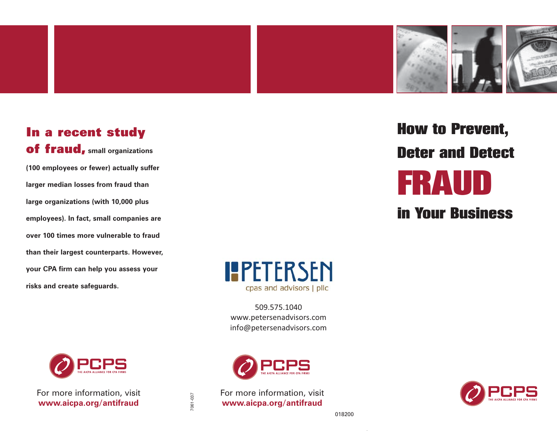

## In a recent study of fraud, **small organizations**

**(100 employees or fewer) actually suffer larger median losses from fraud than large organizations (with 10,000 plus employees). In fact, small companies are over 100 times more vulnerable to fraudthan their largest counterparts. However, your CPA firm can help you assess your risks and create safeguards.** 





509.575.1040 www.petersenadvisors.com info@petersenadvisors.com

cpas and advisors | pllc

**IPETERSEN** 

For more information, visit **www.aicpa.org/antifraud** For more information, visit **www.aicpa.org/antifraud** 

# How to Prevent, Deter and Detect FRAUD

in Your Business